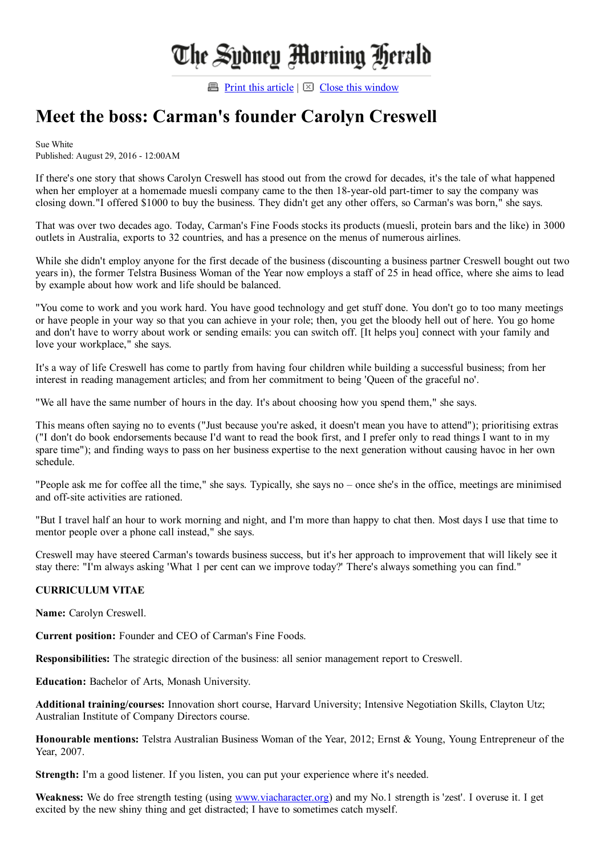## The Sydney Morning Herald

**Print this [article](javascript:window.print();)**  $\boxtimes$  Close this [window](javascript:window.close();)

## Meet the boss: Carman's founder Carolyn Creswell

Sue White Published: August 29, 2016 12:00AM

If there's one story that shows Carolyn Creswell has stood out from the crowd for decades, it's the tale of what happened when her employer at a homemade muesli company came to the then 18-year-old part-timer to say the company was closing down."I offered \$1000 to buy the business. They didn't get any other offers, so Carman's was born," she says.

That was over two decades ago. Today, Carman's Fine Foods stocks its products (muesli, protein bars and the like) in 3000 outlets in Australia, exports to 32 countries, and has a presence on the menus of numerous airlines.

While she didn't employ anyone for the first decade of the business (discounting a business partner Creswell bought out two years in), the former Telstra Business Woman of the Year now employs a staff of 25 in head office, where she aims to lead by example about how work and life should be balanced.

"You come to work and you work hard. You have good technology and get stuff done. You don't go to too many meetings or have people in your way so that you can achieve in your role; then, you get the bloody hell out of here. You go home and don't have to worry about work or sending emails: you can switch off. [It helps you] connect with your family and love your workplace," she says.

It's a way of life Creswell has come to partly from having four children while building a successful business; from her interest in reading management articles; and from her commitment to being 'Queen of the graceful no'.

"We all have the same number of hours in the day. It's about choosing how you spend them," she says.

This means often saying no to events ("Just because you're asked, it doesn't mean you have to attend"); prioritising extras ("I don't do book endorsements because I'd want to read the book first, and I prefer only to read things I want to in my spare time"); and finding ways to pass on her business expertise to the next generation without causing havoc in her own schedule.

"People ask me for coffee all the time," she says. Typically, she says no – once she's in the office, meetings are minimised and off-site activities are rationed.

"But I travel half an hour to work morning and night, and I'm more than happy to chat then. Most days I use that time to mentor people over a phone call instead," she says.

Creswell may have steered Carman's towards business success, but it's her approach to improvement that will likely see it stay there: "I'm always asking 'What 1 per cent can we improve today?' There's always something you can find."

## CURRICULUM VITAE

Name: Carolyn Creswell.

Current position: Founder and CEO of Carman's Fine Foods.

Responsibilities: The strategic direction of the business: all senior management report to Creswell.

Education: Bachelor of Arts, Monash University.

Additional training/courses: Innovation short course, Harvard University; Intensive Negotiation Skills, Clayton Utz; Australian Institute of Company Directors course.

Honourable mentions: Telstra Australian Business Woman of the Year, 2012; Ernst & Young, Young Entrepreneur of the Year, 2007.

Strength: I'm a good listener. If you listen, you can put your experience where it's needed.

Weakness: We do free strength testing (using [www.viacharacter.org](http://www.viacharacter.org/)) and my No.1 strength is 'zest'. I overuse it. I get excited by the new shiny thing and get distracted; I have to sometimes catch myself.